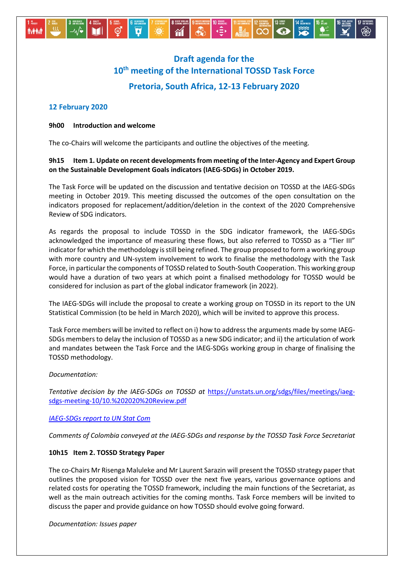

# **Draft agenda for the 10th meeting of the International TOSSD Task Force Pretoria, South Africa, 12-13 February 2020**

# **12 February 2020**

#### **9h00 Introduction and welcome**

The co-Chairs will welcome the participants and outline the objectives of the meeting.

# **9h15 Item 1. Update on recent developments from meeting of the Inter-Agency and Expert Group on the Sustainable Development Goals indicators (IAEG-SDGs) in October 2019.**

The Task Force will be updated on the discussion and tentative decision on TOSSD at the IAEG-SDGs meeting in October 2019. This meeting discussed the outcomes of the open consultation on the indicators proposed for replacement/addition/deletion in the context of the 2020 Comprehensive Review of SDG indicators.

As regards the proposal to include TOSSD in the SDG indicator framework, the IAEG-SDGs acknowledged the importance of measuring these flows, but also referred to TOSSD as a "Tier III" indicator for which the methodology is still being refined. The group proposed to form a working group with more country and UN-system involvement to work to finalise the methodology with the Task Force, in particular the components of TOSSD related to South-South Cooperation. This working group would have a duration of two years at which point a finalised methodology for TOSSD would be considered for inclusion as part of the global indicator framework (in 2022).

The IAEG-SDGs will include the proposal to create a working group on TOSSD in its report to the UN Statistical Commission (to be held in March 2020), which will be invited to approve this process.

Task Force members will be invited to reflect on i) how to address the arguments made by some IAEG-SDGs members to delay the inclusion of TOSSD as a new SDG indicator; and ii) the articulation of work and mandates between the Task Force and the IAEG-SDGs working group in charge of finalising the TOSSD methodology.

## *Documentation:*

*Tentative decision by the IAEG-SDGs on TOSSD at* [https://unstats.un.org/sdgs/files/meetings/iaeg](https://unstats.un.org/sdgs/files/meetings/iaeg-sdgs-meeting-10/10.%202020%20Review.pdf)[sdgs-meeting-10/10.%202020%20Review.pdf](https://unstats.un.org/sdgs/files/meetings/iaeg-sdgs-meeting-10/10.%202020%20Review.pdf)

## *[IAEG-SDGs report to UN Stat Com](https://unstats.un.org/unsd/statcom/51st-session/documents/2020-2-SDG-IAEG-E.pdf)*

*Comments of Colombia conveyed at the IAEG-SDGs and response by the TOSSD Task Force Secretariat*

## **10h15 Item 2. TOSSD Strategy Paper**

The co-Chairs Mr Risenga Maluleke and Mr Laurent Sarazin will present the TOSSD strategy paper that outlines the proposed vision for TOSSD over the next five years, various governance options and related costs for operating the TOSSD framework, including the main functions of the Secretariat, as well as the main outreach activities for the coming months. Task Force members will be invited to discuss the paper and provide guidance on how TOSSD should evolve going forward.

*Documentation: Issues paper*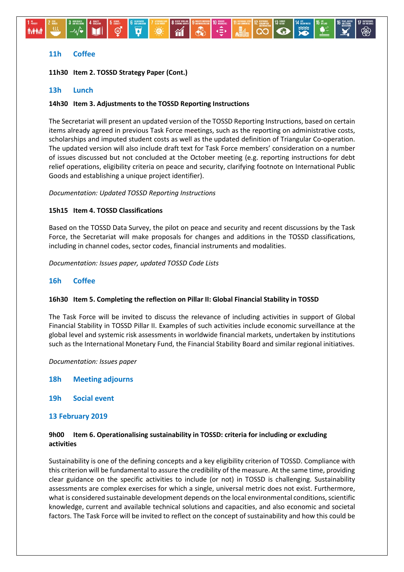# **11h Coffee**

*MAM* 

**11h30 Item 2. TOSSD Strategy Paper (Cont.)**

#### **13h Lunch**

#### **14h30 Item 3. Adjustments to the TOSSD Reporting Instructions**

∹ত

 $\hat{\mathbf{n}}$ 

The Secretariat will present an updated version of the TOSSD Reporting Instructions, based on certain items already agreed in previous Task Force meetings, such as the reporting on administrative costs, scholarships and imputed student costs as well as the updated definition of Triangular Co-operation. The updated version will also include draft text for Task Force members' consideration on a number of issues discussed but not concluded at the October meeting (e.g. reporting instructions for debt relief operations, eligibility criteria on peace and security, clarifying footnote on International Public Goods and establishing a unique project identifier).

اد≘∢

 $\overline{\bullet}$ 

#### *Documentation: Updated TOSSD Reporting Instructions*

#### **15h15 Item 4. TOSSD Classifications**

Based on the TOSSD Data Survey, the pilot on peace and security and recent discussions by the Task Force, the Secretariat will make proposals for changes and additions in the TOSSD classifications, including in channel codes, sector codes, financial instruments and modalities.

*Documentation: Issues paper, updated TOSSD Code Lists*

## **16h Coffee**

#### **16h30 Item 5. Completing the reflection on Pillar II: Global Financial Stability in TOSSD**

The Task Force will be invited to discuss the relevance of including activities in support of Global Financial Stability in TOSSD Pillar II. Examples of such activities include economic surveillance at the global level and systemic risk assessments in worldwide financial markets, undertaken by institutions such as the International Monetary Fund, the Financial Stability Board and similar regional initiatives.

*Documentation: Issues paper*

- **18h Meeting adjourns**
- **19h Social event**

#### **13 February 2019**

## **9h00 Item 6. Operationalising sustainability in TOSSD: criteria for including or excluding activities**

Sustainability is one of the defining concepts and a key eligibility criterion of TOSSD. Compliance with this criterion will be fundamental to assure the credibility of the measure. At the same time, providing clear guidance on the specific activities to include (or not) in TOSSD is challenging. Sustainability assessments are complex exercises for which a single, universal metric does not exist. Furthermore, what is considered sustainable development depends on the local environmental conditions, scientific knowledge, current and available technical solutions and capacities, and also economic and societal factors. The Task Force will be invited to reflect on the concept of sustainability and how this could be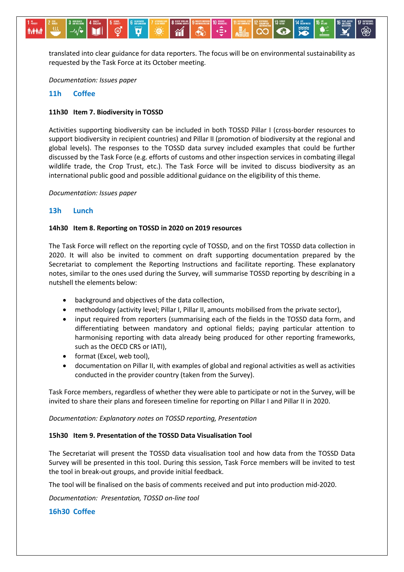translated into clear guidance for data reporters. The focus will be on environmental sustainability as requested by the Task Force at its October meeting.

*Documentation: Issues paper*

#### **11h Coffee**

 $-\mathcal{W}$ 

*<u>MAN</u>* 

#### **11h30 Item 7. Biodiversity in TOSSD**

Activities supporting biodiversity can be included in both TOSSD Pillar I (cross-border resources to support biodiversity in recipient countries) and Pillar II (promotion of biodiversity at the regional and global levels). The responses to the TOSSD data survey included examples that could be further discussed by the Task Force (e.g. efforts of customs and other inspection services in combating illegal wildlife trade, the Crop Trust, etc.). The Task Force will be invited to discuss biodiversity as an international public good and possible additional guidance on the eligibility of this theme.

#### *Documentation: Issues paper*

#### **13h Lunch**

#### **14h30 Item 8. Reporting on TOSSD in 2020 on 2019 resources**

The Task Force will reflect on the reporting cycle of TOSSD, and on the first TOSSD data collection in 2020. It will also be invited to comment on draft supporting documentation prepared by the Secretariat to complement the Reporting Instructions and facilitate reporting. These explanatory notes, similar to the ones used during the Survey, will summarise TOSSD reporting by describing in a nutshell the elements below:

- background and objectives of the data collection,
- methodology (activity level; Pillar I, Pillar II, amounts mobilised from the private sector),
- input required from reporters (summarising each of the fields in the TOSSD data form, and differentiating between mandatory and optional fields; paying particular attention to harmonising reporting with data already being produced for other reporting frameworks, such as the OECD CRS or IATI),
- format (Excel, web tool),
- documentation on Pillar II, with examples of global and regional activities as well as activities conducted in the provider country (taken from the Survey).

Task Force members, regardless of whether they were able to participate or not in the Survey, will be invited to share their plans and foreseen timeline for reporting on Pillar I and Pillar II in 2020.

*Documentation: Explanatory notes on TOSSD reporting, Presentation*

#### **15h30 Item 9. Presentation of the TOSSD Data Visualisation Tool**

The Secretariat will present the TOSSD data visualisation tool and how data from the TOSSD Data Survey will be presented in this tool. During this session, Task Force members will be invited to test the tool in break-out groups, and provide initial feedback.

The tool will be finalised on the basis of comments received and put into production mid-2020.

*Documentation: Presentation, TOSSD on-line tool*

#### **16h30 Coffee**